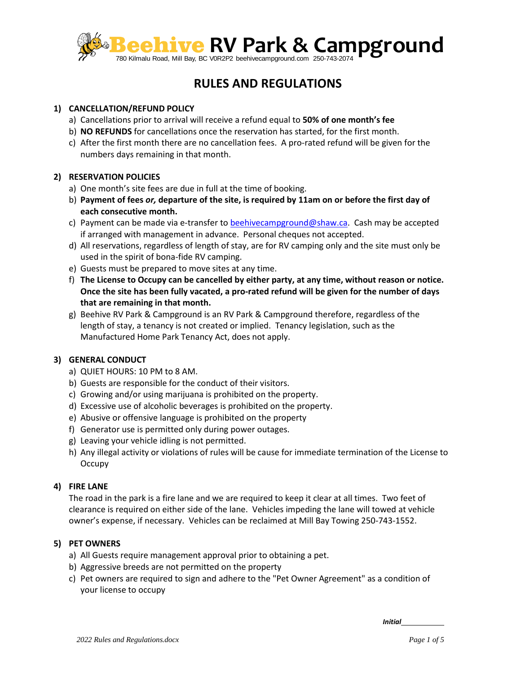

# **RULES AND REGULATIONS**

## **1) CANCELLATION/REFUND POLICY**

- a) Cancellations prior to arrival will receive a refund equal to **50% of one month's fee**
- b) **NO REFUNDS** for cancellations once the reservation has started, for the first month.
- c) After the first month there are no cancellation fees. A pro-rated refund will be given for the numbers days remaining in that month.

## **2) RESERVATION POLICIES**

- a) One month's site fees are due in full at the time of booking.
- b) **Payment of fees** *or,* **departure of the site, is required by 11am on or before the first day of each consecutive month.**
- c) Payment can be made via e-transfer t[o beehivecampground@shaw.ca.](mailto:beehivecampground@shaw.ca) Cash may be accepted if arranged with management in advance. Personal cheques not accepted.
- d) All reservations, regardless of length of stay, are for RV camping only and the site must only be used in the spirit of bona-fide RV camping.
- e) Guests must be prepared to move sites at any time.
- f) **The License to Occupy can be cancelled by either party, at any time, without reason or notice. Once the site has been fully vacated, a pro-rated refund will be given for the number of days that are remaining in that month.**
- g) Beehive RV Park & Campground is an RV Park & Campground therefore, regardless of the length of stay, a tenancy is not created or implied. Tenancy legislation, such as the Manufactured Home Park Tenancy Act, does not apply.

## **3) GENERAL CONDUCT**

- a) QUIET HOURS: 10 PM to 8 AM.
- b) Guests are responsible for the conduct of their visitors.
- c) Growing and/or using marijuana is prohibited on the property.
- d) Excessive use of alcoholic beverages is prohibited on the property.
- e) Abusive or offensive language is prohibited on the property
- f) Generator use is permitted only during power outages.
- g) Leaving your vehicle idling is not permitted.
- h) Any illegal activity or violations of rules will be cause for immediate termination of the License to **Occupy**

## **4) FIRE LANE**

The road in the park is a fire lane and we are required to keep it clear at all times. Two feet of clearance is required on either side of the lane. Vehicles impeding the lane will towed at vehicle owner's expense, if necessary. Vehicles can be reclaimed at Mill Bay Towing 250-743-1552.

## **5) PET OWNERS**

- a) All Guests require management approval prior to obtaining a pet.
- b) Aggressive breeds are not permitted on the property
- c) Pet owners are required to sign and adhere to the "Pet Owner Agreement" as a condition of your license to occupy

*Initial*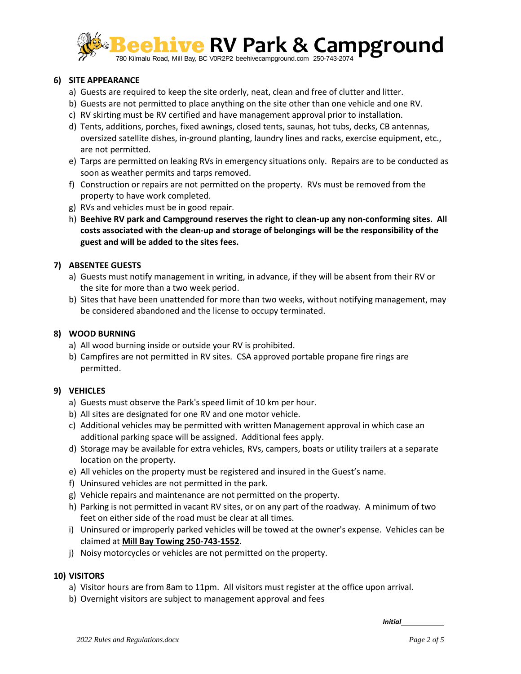

## **6) SITE APPEARANCE**

- a) Guests are required to keep the site orderly, neat, clean and free of clutter and litter.
- b) Guests are not permitted to place anything on the site other than one vehicle and one RV.
- c) RV skirting must be RV certified and have management approval prior to installation.
- d) Tents, additions, porches, fixed awnings, closed tents, saunas, hot tubs, decks, CB antennas, oversized satellite dishes, in-ground planting, laundry lines and racks, exercise equipment, etc., are not permitted.
- e) Tarps are permitted on leaking RVs in emergency situations only. Repairs are to be conducted as soon as weather permits and tarps removed.
- f) Construction or repairs are not permitted on the property. RVs must be removed from the property to have work completed.
- g) RVs and vehicles must be in good repair.
- h) **Beehive RV park and Campground reserves the right to clean-up any non-conforming sites. All costs associated with the clean-up and storage of belongings will be the responsibility of the guest and will be added to the sites fees.**

## **7) ABSENTEE GUESTS**

- a) Guests must notify management in writing, in advance, if they will be absent from their RV or the site for more than a two week period.
- b) Sites that have been unattended for more than two weeks, without notifying management, may be considered abandoned and the license to occupy terminated.

## **8) WOOD BURNING**

- a) All wood burning inside or outside your RV is prohibited.
- b) Campfires are not permitted in RV sites. CSA approved portable propane fire rings are permitted.

## **9) VEHICLES**

- a) Guests must observe the Park's speed limit of 10 km per hour.
- b) All sites are designated for one RV and one motor vehicle.
- c) Additional vehicles may be permitted with written Management approval in which case an additional parking space will be assigned. Additional fees apply.
- d) Storage may be available for extra vehicles, RVs, campers, boats or utility trailers at a separate location on the property.
- e) All vehicles on the property must be registered and insured in the Guest's name.
- f) Uninsured vehicles are not permitted in the park.
- g) Vehicle repairs and maintenance are not permitted on the property.
- h) Parking is not permitted in vacant RV sites, or on any part of the roadway. A minimum of two feet on either side of the road must be clear at all times.
- i) Uninsured or improperly parked vehicles will be towed at the owner's expense. Vehicles can be claimed at **Mill Bay Towing 250-743-1552**.
- j) Noisy motorcycles or vehicles are not permitted on the property.

## **10) VISITORS**

- a) Visitor hours are from 8am to 11pm. All visitors must register at the office upon arrival.
- b) Overnight visitors are subject to management approval and fees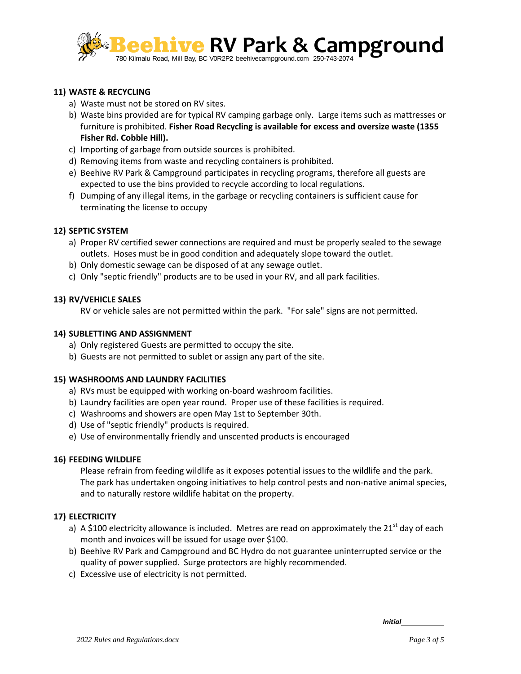

## **11) WASTE & RECYCLING**

- a) Waste must not be stored on RV sites.
- b) Waste bins provided are for typical RV camping garbage only. Large items such as mattresses or furniture is prohibited. **Fisher Road Recycling is available for excess and oversize waste (1355 Fisher Rd. Cobble Hill).**
- c) Importing of garbage from outside sources is prohibited.
- d) Removing items from waste and recycling containers is prohibited.
- e) Beehive RV Park & Campground participates in recycling programs, therefore all guests are expected to use the bins provided to recycle according to local regulations.
- f) Dumping of any illegal items, in the garbage or recycling containers is sufficient cause for terminating the license to occupy

## **12) SEPTIC SYSTEM**

- a) Proper RV certified sewer connections are required and must be properly sealed to the sewage outlets. Hoses must be in good condition and adequately slope toward the outlet.
- b) Only domestic sewage can be disposed of at any sewage outlet.
- c) Only "septic friendly" products are to be used in your RV, and all park facilities.

## **13) RV/VEHICLE SALES**

RV or vehicle sales are not permitted within the park. "For sale" signs are not permitted.

## **14) SUBLETTING AND ASSIGNMENT**

- a) Only registered Guests are permitted to occupy the site.
- b) Guests are not permitted to sublet or assign any part of the site.

## **15) WASHROOMS AND LAUNDRY FACILITIES**

- a) RVs must be equipped with working on-board washroom facilities.
- b) Laundry facilities are open year round. Proper use of these facilities is required.
- c) Washrooms and showers are open May 1st to September 30th.
- d) Use of "septic friendly" products is required.
- e) Use of environmentally friendly and unscented products is encouraged

## **16) FEEDING WILDLIFE**

Please refrain from feeding wildlife as it exposes potential issues to the wildlife and the park. The park has undertaken ongoing initiatives to help control pests and non-native animal species, and to naturally restore wildlife habitat on the property.

## **17) ELECTRICITY**

- a) A \$100 electricity allowance is included. Metres are read on approximately the 21<sup>st</sup> day of each month and invoices will be issued for usage over \$100.
- b) Beehive RV Park and Campground and BC Hydro do not guarantee uninterrupted service or the quality of power supplied. Surge protectors are highly recommended.
- c) Excessive use of electricity is not permitted.

*Initial*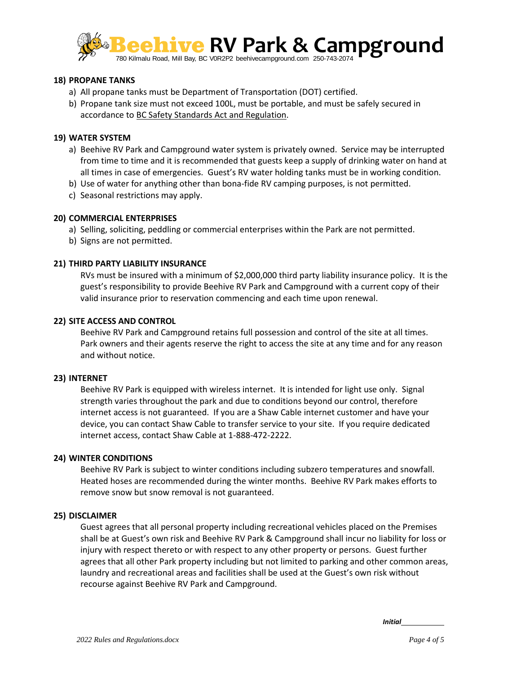

#### **18) PROPANE TANKS**

- a) All propane tanks must be Department of Transportation (DOT) certified.
- b) Propane tank size must not exceed 100L, must be portable, and must be safely secured in accordance to BC Safety Standards Act and Regulation.

#### **19) WATER SYSTEM**

- a) Beehive RV Park and Campground water system is privately owned. Service may be interrupted from time to time and it is recommended that guests keep a supply of drinking water on hand at all times in case of emergencies. Guest's RV water holding tanks must be in working condition.
- b) Use of water for anything other than bona-fide RV camping purposes, is not permitted.
- c) Seasonal restrictions may apply.

#### **20) COMMERCIAL ENTERPRISES**

a) Selling, soliciting, peddling or commercial enterprises within the Park are not permitted.

b) Signs are not permitted.

#### **21) THIRD PARTY LIABILITY INSURANCE**

RVs must be insured with a minimum of \$2,000,000 third party liability insurance policy. It is the guest's responsibility to provide Beehive RV Park and Campground with a current copy of their valid insurance prior to reservation commencing and each time upon renewal.

#### **22) SITE ACCESS AND CONTROL**

Beehive RV Park and Campground retains full possession and control of the site at all times. Park owners and their agents reserve the right to access the site at any time and for any reason and without notice.

#### **23) INTERNET**

Beehive RV Park is equipped with wireless internet. It is intended for light use only. Signal strength varies throughout the park and due to conditions beyond our control, therefore internet access is not guaranteed. If you are a Shaw Cable internet customer and have your device, you can contact Shaw Cable to transfer service to your site. If you require dedicated internet access, contact Shaw Cable at 1-888-472-2222.

#### **24) WINTER CONDITIONS**

Beehive RV Park is subject to winter conditions including subzero temperatures and snowfall. Heated hoses are recommended during the winter months. Beehive RV Park makes efforts to remove snow but snow removal is not guaranteed.

#### **25) DISCLAIMER**

Guest agrees that all personal property including recreational vehicles placed on the Premises shall be at Guest's own risk and Beehive RV Park & Campground shall incur no liability for loss or injury with respect thereto or with respect to any other property or persons. Guest further agrees that all other Park property including but not limited to parking and other common areas, laundry and recreational areas and facilities shall be used at the Guest's own risk without recourse against Beehive RV Park and Campground.